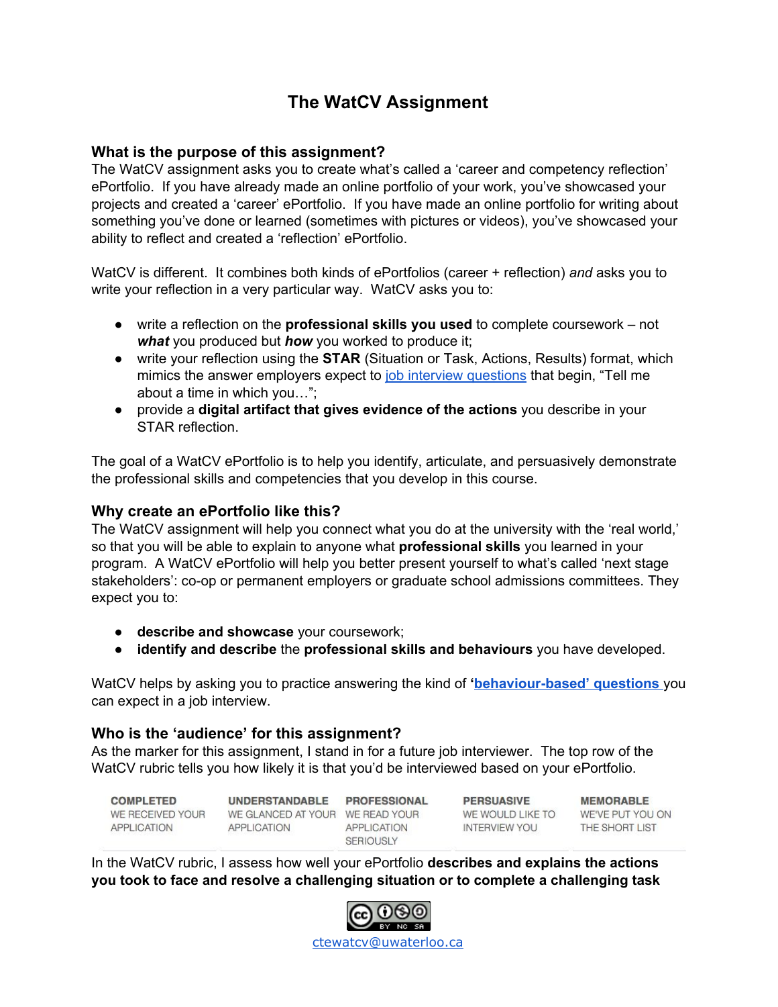# **The WatCV Assignment**

## **What is the purpose of this assignment?**

The WatCV assignment asks you to create what's called a 'career and competency reflection' ePortfolio. If you have already made an online portfolio of your work, you've showcased your projects and created a 'career' ePortfolio. If you have made an online portfolio for writing about something you've done or learned (sometimes with pictures or videos), you've showcased your ability to reflect and created a 'reflection' ePortfolio.

WatCV is different. It combines both kinds of ePortfolios (career + reflection) *and* asks you to write your reflection in a very particular way. WatCV asks you to:

- write a reflection on the **professional skills you used** to complete coursework not *what* you produced but *how* you worked to produce it;
- write your reflection using the **STAR** (Situation or Task, Actions, Results) format, which mimics the answer employers expect to job interview [questions](https://www.livecareer.com/quintessential/sample-behavioral) that begin, "Tell me about a time in which you…";
- provide a **digital artifact that gives evidence of the actions** you describe in your STAR reflection.

The goal of a WatCV ePortfolio is to help you identify, articulate, and persuasively demonstrate the professional skills and competencies that you develop in this course.

## **Why create an ePortfolio like this?**

The WatCV assignment will help you connect what you do at the university with the 'real world,' so that you will be able to explain to anyone what **professional skills** you learned in your program. A WatCV ePortfolio will help you better present yourself to what's called 'next stage stakeholders': co-op or permanent employers or graduate school admissions committees. They expect you to:

- **describe and showcase** your coursework;
- **identify and describe** the **professional skills and behaviours** you have developed.

WatCV helps by asking you to practice answering the kind of **'[behaviour-based'](https://www.livecareer.com/quintessential/sample-behavioral) questions** you can expect in a job interview.

## **Who is the 'audience' for this assignment?**

As the marker for this assignment, I stand in for a future job interviewer. The top row of the WatCV rubric tells you how likely it is that you'd be interviewed based on your ePortfolio.

**COMPLETED** 

WE RECEIVED YOUR WE GLANCED AT YOUR WE READ YOUR APPLICATION APPLICATION APPLICATION

UNDERSTANDABLE PROFESSIONAL **SERIOUSLY** 

**PERSUASIVE** WE WOULD LIKE TO **INTERVIEW YOU** 

**MEMORABLE** WE'VE PUT YOU ON THE SHORT LIST

In the WatCV rubric, I assess how well your ePortfolio **describes and explains the actions you took to face and resolve a challenging situation or to complete a challenging task**